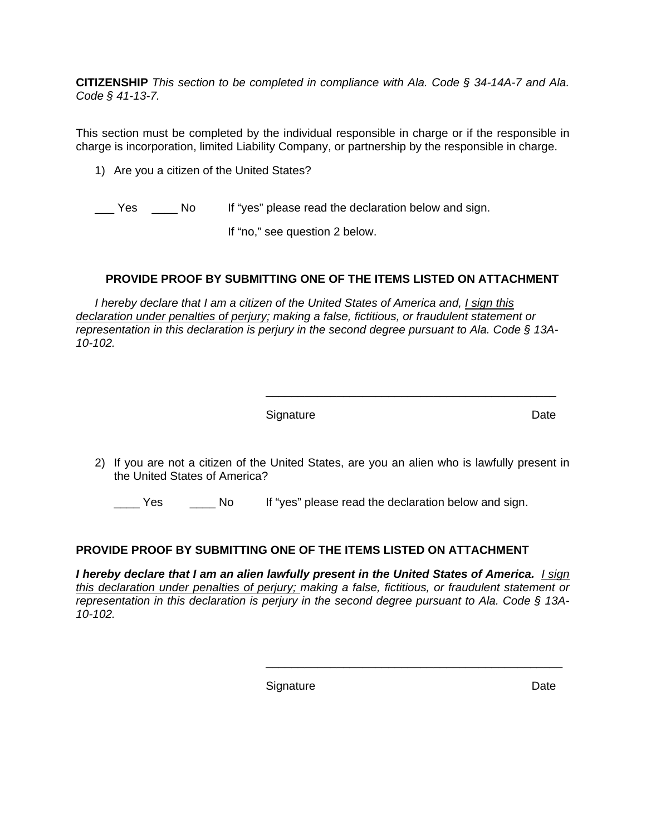**CITIZENSHIP** *This section to be completed in compliance with Ala. Code § 34-14A-7 and Ala. Code § 41-13-7.*

This section must be completed by the individual responsible in charge or if the responsible in charge is incorporation, limited Liability Company, or partnership by the responsible in charge.

1) Are you a citizen of the United States?

Yes \_\_\_\_ No If "yes" please read the declaration below and sign.

If "no," see question 2 below.

## **PROVIDE PROOF BY SUBMITTING ONE OF THE ITEMS LISTED ON ATTACHMENT**

*I hereby declare that I am a citizen of the United States of America and, I sign this declaration under penalties of perjury; making a false, fictitious, or fraudulent statement or representation in this declaration is perjury in the second degree pursuant to Ala. Code § 13A-10-102.*

| Signature | Date |
|-----------|------|

2) If you are not a citizen of the United States, are you an alien who is lawfully present in the United States of America?

 $\frac{1}{2}$  ,  $\frac{1}{2}$  ,  $\frac{1}{2}$  ,  $\frac{1}{2}$  ,  $\frac{1}{2}$  ,  $\frac{1}{2}$  ,  $\frac{1}{2}$  ,  $\frac{1}{2}$  ,  $\frac{1}{2}$  ,  $\frac{1}{2}$  ,  $\frac{1}{2}$  ,  $\frac{1}{2}$  ,  $\frac{1}{2}$  ,  $\frac{1}{2}$  ,  $\frac{1}{2}$  ,  $\frac{1}{2}$  ,  $\frac{1}{2}$  ,  $\frac{1}{2}$  ,  $\frac{1$ 

The Yes **EXEC ADDED IS THE SET ASSET** Yes in Islam Islam Islam Islam.

## **PROVIDE PROOF BY SUBMITTING ONE OF THE ITEMS LISTED ON ATTACHMENT**

*I hereby declare that I am an alien lawfully present in the United States of America. I sign this declaration under penalties of perjury; making a false, fictitious, or fraudulent statement or representation in this declaration is perjury in the second degree pursuant to Ala. Code § 13A-10-102.* 

 $\overline{\phantom{a}}$  ,  $\overline{\phantom{a}}$  ,  $\overline{\phantom{a}}$  ,  $\overline{\phantom{a}}$  ,  $\overline{\phantom{a}}$  ,  $\overline{\phantom{a}}$  ,  $\overline{\phantom{a}}$  ,  $\overline{\phantom{a}}$  ,  $\overline{\phantom{a}}$  ,  $\overline{\phantom{a}}$  ,  $\overline{\phantom{a}}$  ,  $\overline{\phantom{a}}$  ,  $\overline{\phantom{a}}$  ,  $\overline{\phantom{a}}$  ,  $\overline{\phantom{a}}$  ,  $\overline{\phantom{a}}$ 

**Signature Constitution Constitution Constitution Constitution Constitution Constitution Constitution Constitution Constitution Constitution Constitution Constitution Constitution Constitution Constitution Constitution C**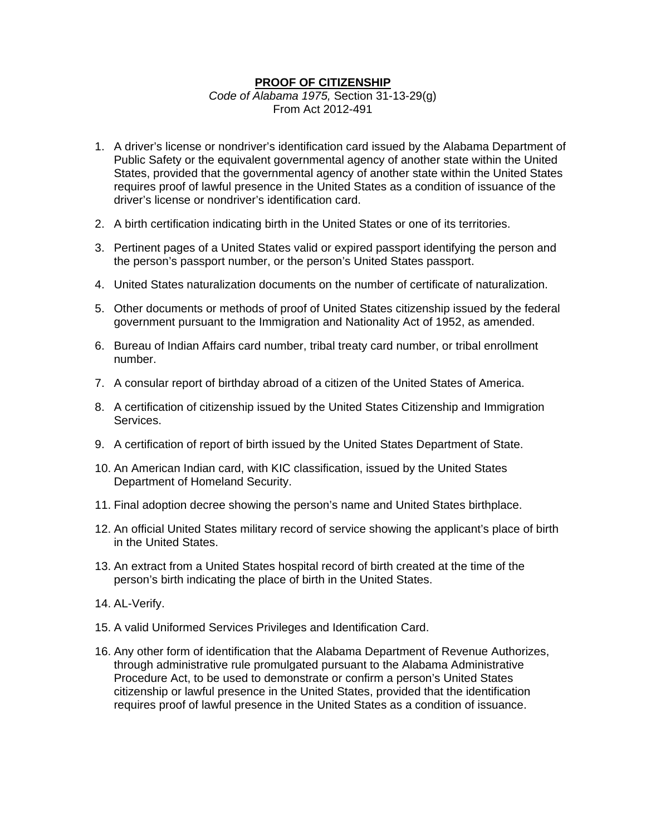## **PROOF OF CITIZENSHIP**

*Code of Alabama 1975,* Section 31-13-29(g) From Act 2012-491

- 1. A driver's license or nondriver's identification card issued by the Alabama Department of Public Safety or the equivalent governmental agency of another state within the United States, provided that the governmental agency of another state within the United States requires proof of lawful presence in the United States as a condition of issuance of the driver's license or nondriver's identification card.
- 2. A birth certification indicating birth in the United States or one of its territories.
- 3. Pertinent pages of a United States valid or expired passport identifying the person and the person's passport number, or the person's United States passport.
- 4. United States naturalization documents on the number of certificate of naturalization.
- 5. Other documents or methods of proof of United States citizenship issued by the federal government pursuant to the Immigration and Nationality Act of 1952, as amended.
- 6. Bureau of Indian Affairs card number, tribal treaty card number, or tribal enrollment number.
- 7. A consular report of birthday abroad of a citizen of the United States of America.
- 8. A certification of citizenship issued by the United States Citizenship and Immigration Services.
- 9. A certification of report of birth issued by the United States Department of State.
- 10. An American Indian card, with KIC classification, issued by the United States Department of Homeland Security.
- 11. Final adoption decree showing the person's name and United States birthplace.
- 12. An official United States military record of service showing the applicant's place of birth in the United States.
- 13. An extract from a United States hospital record of birth created at the time of the person's birth indicating the place of birth in the United States.
- 14. AL-Verify.
- 15. A valid Uniformed Services Privileges and Identification Card.
- 16. Any other form of identification that the Alabama Department of Revenue Authorizes, through administrative rule promulgated pursuant to the Alabama Administrative Procedure Act, to be used to demonstrate or confirm a person's United States citizenship or lawful presence in the United States, provided that the identification requires proof of lawful presence in the United States as a condition of issuance.